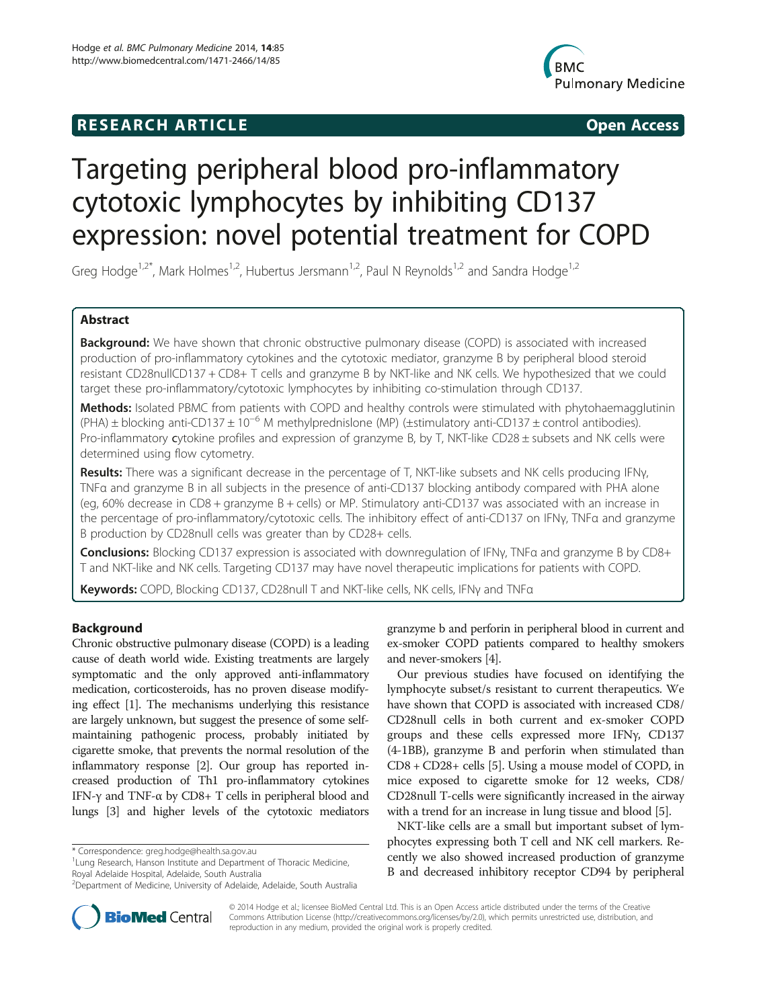## **RESEARCH ARTICLE Example 2014 CONSIDERING CONSIDERING CONSIDERING CONSIDERING CONSIDERING CONSIDERING CONSIDERING CONSIDERING CONSIDERING CONSIDERING CONSIDERING CONSIDERING CONSIDERING CONSIDERING CONSIDERING CONSIDE**



# Targeting peripheral blood pro-inflammatory cytotoxic lymphocytes by inhibiting CD137 expression: novel potential treatment for COPD

Greg Hodge<sup>1,2\*</sup>, Mark Holmes<sup>1,2</sup>, Hubertus Jersmann<sup>1,2</sup>, Paul N Reynolds<sup>1,2</sup> and Sandra Hodge<sup>1,2</sup>

## Abstract

Background: We have shown that chronic obstructive pulmonary disease (COPD) is associated with increased production of pro-inflammatory cytokines and the cytotoxic mediator, granzyme B by peripheral blood steroid resistant CD28nullCD137 + CD8+ T cells and granzyme B by NKT-like and NK cells. We hypothesized that we could target these pro-inflammatory/cytotoxic lymphocytes by inhibiting co-stimulation through CD137.

Methods: Isolated PBMC from patients with COPD and healthy controls were stimulated with phytohaemagglutinin (PHA) ± blocking anti-CD137 ± 10−<sup>6</sup> M methylprednislone (MP) (±stimulatory anti-CD137 ± control antibodies). Pro-inflammatory cytokine profiles and expression of granzyme B, by T, NKT-like CD28 ± subsets and NK cells were determined using flow cytometry.

Results: There was a significant decrease in the percentage of T, NKT-like subsets and NK cells producing IFNy, TNFα and granzyme B in all subjects in the presence of anti-CD137 blocking antibody compared with PHA alone (eg, 60% decrease in CD8 + granzyme B + cells) or MP. Stimulatory anti-CD137 was associated with an increase in the percentage of pro-inflammatory/cytotoxic cells. The inhibitory effect of anti-CD137 on IFNγ, TNFα and granzyme B production by CD28null cells was greater than by CD28+ cells.

Conclusions: Blocking CD137 expression is associated with downregulation of IFNy, TNFa and granzyme B by CD8+ T and NKT-like and NK cells. Targeting CD137 may have novel therapeutic implications for patients with COPD.

Keywords: COPD, Blocking CD137, CD28null T and NKT-like cells, NK cells, IFNy and TNFa

## Background

Chronic obstructive pulmonary disease (COPD) is a leading cause of death world wide. Existing treatments are largely symptomatic and the only approved anti-inflammatory medication, corticosteroids, has no proven disease modifying effect [\[1](#page-9-0)]. The mechanisms underlying this resistance are largely unknown, but suggest the presence of some selfmaintaining pathogenic process, probably initiated by cigarette smoke, that prevents the normal resolution of the inflammatory response [\[2](#page-9-0)]. Our group has reported increased production of Th1 pro-inflammatory cytokines IFN- $\gamma$  and TNF- $\alpha$  by CD8+ T cells in peripheral blood and lungs [\[3](#page-9-0)] and higher levels of the cytotoxic mediators

<sup>1</sup> Lung Research, Hanson Institute and Department of Thoracic Medicine, Royal Adelaide Hospital, Adelaide, South Australia

granzyme b and perforin in peripheral blood in current and ex-smoker COPD patients compared to healthy smokers and never-smokers [[4](#page-9-0)].

Our previous studies have focused on identifying the lymphocyte subset/s resistant to current therapeutics. We have shown that COPD is associated with increased CD8/ CD28null cells in both current and ex-smoker COPD groups and these cells expressed more IFNγ, CD137 (4-1BB), granzyme B and perforin when stimulated than CD8 + CD28+ cells [\[5](#page-9-0)]. Using a mouse model of COPD, in mice exposed to cigarette smoke for 12 weeks, CD8/ CD28null T-cells were significantly increased in the airway with a trend for an increase in lung tissue and blood [[5](#page-9-0)].

NKT-like cells are a small but important subset of lymphocytes expressing both T cell and NK cell markers. Recently we also showed increased production of granzyme B and decreased inhibitory receptor CD94 by peripheral



© 2014 Hodge et al.; licensee BioMed Central Ltd. This is an Open Access article distributed under the terms of the Creative Commons Attribution License [\(http://creativecommons.org/licenses/by/2.0\)](http://creativecommons.org/licenses/by/2.0), which permits unrestricted use, distribution, and reproduction in any medium, provided the original work is properly credited.

<sup>\*</sup> Correspondence: [greg.hodge@health.sa.gov.au](mailto:greg.hodge@health.sa.gov.au) <sup>1</sup>

<sup>2</sup> Department of Medicine, University of Adelaide, Adelaide, South Australia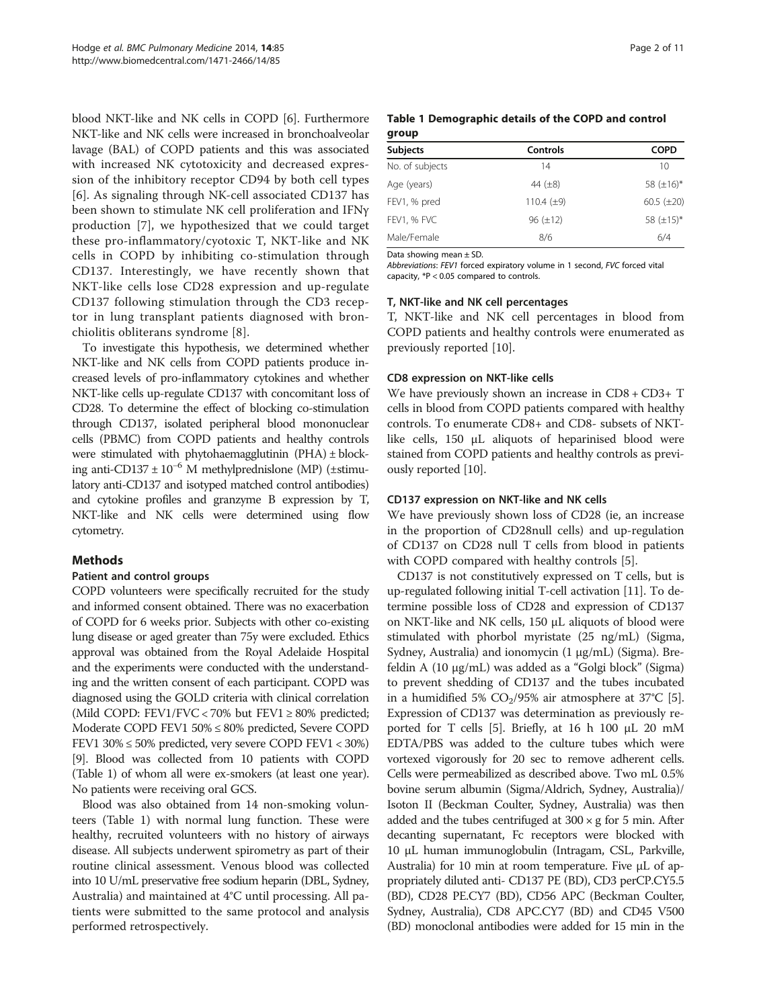blood NKT-like and NK cells in COPD [[6\]](#page-9-0). Furthermore NKT-like and NK cells were increased in bronchoalveolar lavage (BAL) of COPD patients and this was associated with increased NK cytotoxicity and decreased expression of the inhibitory receptor CD94 by both cell types [[6\]](#page-9-0). As signaling through NK-cell associated CD137 has been shown to stimulate NK cell proliferation and IFNγ production [[7\]](#page-9-0), we hypothesized that we could target these pro-inflammatory/cyotoxic T, NKT-like and NK cells in COPD by inhibiting co-stimulation through CD137. Interestingly, we have recently shown that NKT-like cells lose CD28 expression and up-regulate CD137 following stimulation through the CD3 receptor in lung transplant patients diagnosed with bronchiolitis obliterans syndrome [[8\]](#page-9-0).

To investigate this hypothesis, we determined whether NKT-like and NK cells from COPD patients produce increased levels of pro-inflammatory cytokines and whether NKT-like cells up-regulate CD137 with concomitant loss of CD28. To determine the effect of blocking co-stimulation through CD137, isolated peripheral blood mononuclear cells (PBMC) from COPD patients and healthy controls were stimulated with phytohaemagglutinin  $(PHA) \pm block$ ing anti-CD137  $\pm 10^{-6}$  M methylprednislone (MP) ( $\pm$ stimulatory anti-CD137 and isotyped matched control antibodies) and cytokine profiles and granzyme B expression by T, NKT-like and NK cells were determined using flow cytometry.

#### Methods

#### Patient and control groups

COPD volunteers were specifically recruited for the study and informed consent obtained. There was no exacerbation of COPD for 6 weeks prior. Subjects with other co-existing lung disease or aged greater than 75y were excluded. Ethics approval was obtained from the Royal Adelaide Hospital and the experiments were conducted with the understanding and the written consent of each participant. COPD was diagnosed using the GOLD criteria with clinical correlation (Mild COPD: FEV1/FVC < 70% but FEV1  $\geq$  80% predicted; Moderate COPD FEV1 50% ≤ 80% predicted, Severe COPD FEV1  $30\% \le 50\%$  predicted, very severe COPD FEV1  $< 30\%$ ) [[9](#page-9-0)]. Blood was collected from 10 patients with COPD (Table 1) of whom all were ex-smokers (at least one year). No patients were receiving oral GCS.

Blood was also obtained from 14 non-smoking volunteers (Table 1) with normal lung function. These were healthy, recruited volunteers with no history of airways disease. All subjects underwent spirometry as part of their routine clinical assessment. Venous blood was collected into 10 U/mL preservative free sodium heparin (DBL, Sydney, Australia) and maintained at 4°C until processing. All patients were submitted to the same protocol and analysis performed retrospectively.

|       | Table 1 Demographic details of the COPD and control |  |
|-------|-----------------------------------------------------|--|
| group |                                                     |  |

| Controls        | <b>COPD</b>     |
|-----------------|-----------------|
| 14              | 10              |
| 44 $(\pm 8)$    | 58 $(\pm 16)^*$ |
| 110.4 $(\pm 9)$ | $60.5 (\pm 20)$ |
| $96 (\pm 12)$   | 58 $(\pm 15)^*$ |
| 8/6             | 6/4             |
|                 |                 |

Data showing mean ± SD.

Abbreviations: FEV1 forced expiratory volume in 1 second, FVC forced vital capacity, \*P < 0.05 compared to controls.

#### T, NKT-like and NK cell percentages

T, NKT-like and NK cell percentages in blood from COPD patients and healthy controls were enumerated as previously reported [\[10](#page-9-0)].

#### CD8 expression on NKT-like cells

We have previously shown an increase in CD8 + CD3+ T cells in blood from COPD patients compared with healthy controls. To enumerate CD8+ and CD8- subsets of NKTlike cells, 150 μL aliquots of heparinised blood were stained from COPD patients and healthy controls as previously reported [[10](#page-9-0)].

#### CD137 expression on NKT-like and NK cells

We have previously shown loss of CD28 (ie, an increase in the proportion of CD28null cells) and up-regulation of CD137 on CD28 null T cells from blood in patients with COPD compared with healthy controls [[5\]](#page-9-0).

CD137 is not constitutively expressed on T cells, but is up-regulated following initial T-cell activation [[11](#page-9-0)]. To determine possible loss of CD28 and expression of CD137 on NKT-like and NK cells, 150 μL aliquots of blood were stimulated with phorbol myristate (25 ng/mL) (Sigma, Sydney, Australia) and ionomycin (1 μg/mL) (Sigma). Brefeldin A (10 μg/mL) was added as a "Golgi block" (Sigma) to prevent shedding of CD137 and the tubes incubated in a humidified [5](#page-9-0)%  $CO<sub>2</sub>/95%$  air atmosphere at 37°C [5]. Expression of CD137 was determination as previously reported for T cells [[5](#page-9-0)]. Briefly, at 16 h 100 μL 20 mM EDTA/PBS was added to the culture tubes which were vortexed vigorously for 20 sec to remove adherent cells. Cells were permeabilized as described above. Two mL 0.5% bovine serum albumin (Sigma/Aldrich, Sydney, Australia)/ Isoton II (Beckman Coulter, Sydney, Australia) was then added and the tubes centrifuged at  $300 \times g$  for 5 min. After decanting supernatant, Fc receptors were blocked with 10 μL human immunoglobulin (Intragam, CSL, Parkville, Australia) for 10 min at room temperature. Five μL of appropriately diluted anti- CD137 PE (BD), CD3 perCP.CY5.5 (BD), CD28 PE.CY7 (BD), CD56 APC (Beckman Coulter, Sydney, Australia), CD8 APC.CY7 (BD) and CD45 V500 (BD) monoclonal antibodies were added for 15 min in the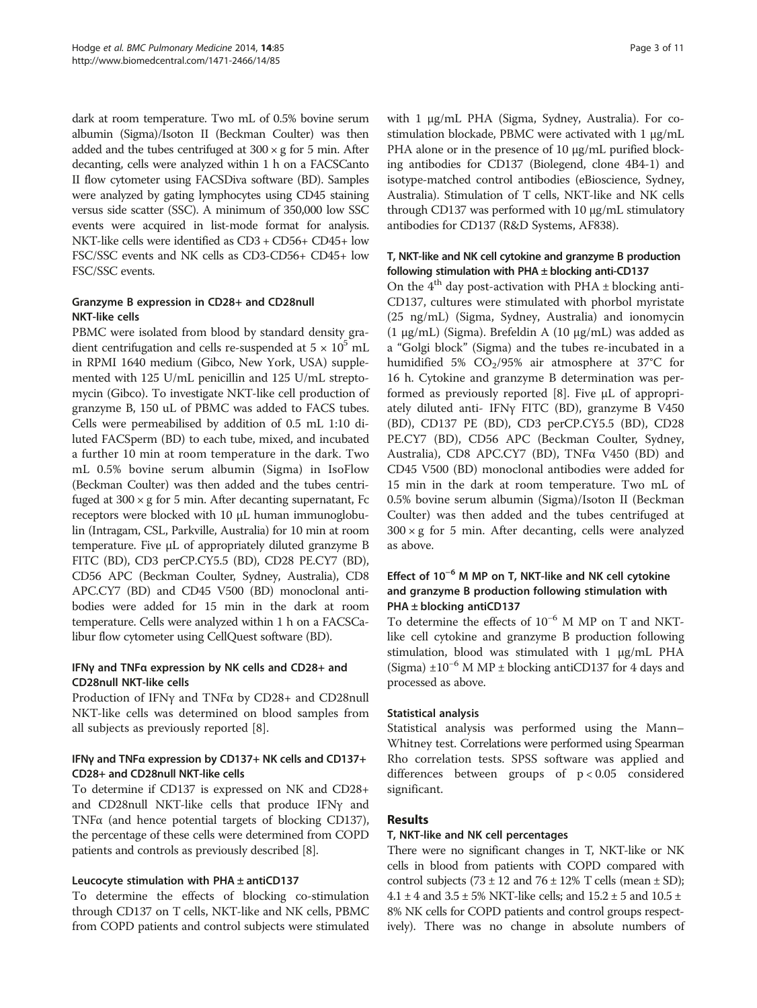dark at room temperature. Two mL of 0.5% bovine serum albumin (Sigma)/Isoton II (Beckman Coulter) was then added and the tubes centrifuged at  $300 \times g$  for 5 min. After decanting, cells were analyzed within 1 h on a FACSCanto II flow cytometer using FACSDiva software (BD). Samples were analyzed by gating lymphocytes using CD45 staining versus side scatter (SSC). A minimum of 350,000 low SSC events were acquired in list-mode format for analysis. NKT-like cells were identified as CD3 + CD56+ CD45+ low FSC/SSC events and NK cells as CD3-CD56+ CD45+ low FSC/SSC events.

#### Granzyme B expression in CD28+ and CD28null NKT-like cells

PBMC were isolated from blood by standard density gradient centrifugation and cells re-suspended at  $5 \times 10^5$  mL in RPMI 1640 medium (Gibco, New York, USA) supplemented with 125 U/mL penicillin and 125 U/mL streptomycin (Gibco). To investigate NKT-like cell production of granzyme B, 150 uL of PBMC was added to FACS tubes. Cells were permeabilised by addition of 0.5 mL 1:10 diluted FACSperm (BD) to each tube, mixed, and incubated a further 10 min at room temperature in the dark. Two mL 0.5% bovine serum albumin (Sigma) in IsoFlow (Beckman Coulter) was then added and the tubes centrifuged at  $300 \times g$  for 5 min. After decanting supernatant, Fc receptors were blocked with 10 μL human immunoglobulin (Intragam, CSL, Parkville, Australia) for 10 min at room temperature. Five μL of appropriately diluted granzyme B FITC (BD), CD3 perCP.CY5.5 (BD), CD28 PE.CY7 (BD), CD56 APC (Beckman Coulter, Sydney, Australia), CD8 APC.CY7 (BD) and CD45 V500 (BD) monoclonal antibodies were added for 15 min in the dark at room temperature. Cells were analyzed within 1 h on a FACSCalibur flow cytometer using CellQuest software (BD).

## IFNγ and TNFα expression by NK cells and CD28+ and CD28null NKT-like cells

Production of IFNγ and TNFα by CD28+ and CD28null NKT-like cells was determined on blood samples from all subjects as previously reported [\[8](#page-9-0)].

## IFNγ and TNFα expression by CD137+ NK cells and CD137+ CD28+ and CD28null NKT-like cells

To determine if CD137 is expressed on NK and CD28+ and CD28null NKT-like cells that produce IFNγ and TNFα (and hence potential targets of blocking CD137), the percentage of these cells were determined from COPD patients and controls as previously described [[8\]](#page-9-0).

## Leucocyte stimulation with PHA  $\pm$  antiCD137

To determine the effects of blocking co-stimulation through CD137 on T cells, NKT-like and NK cells, PBMC from COPD patients and control subjects were stimulated with 1 μg/mL PHA (Sigma, Sydney, Australia). For costimulation blockade, PBMC were activated with 1 μg/mL PHA alone or in the presence of 10 μg/mL purified blocking antibodies for CD137 (Biolegend, clone 4B4-1) and isotype-matched control antibodies (eBioscience, Sydney, Australia). Stimulation of T cells, NKT-like and NK cells through CD137 was performed with 10 μg/mL stimulatory antibodies for CD137 (R&D Systems, AF838).

## T, NKT-like and NK cell cytokine and granzyme B production following stimulation with  $PHA \pm$  blocking anti-CD137

On the  $4<sup>th</sup>$  day post-activation with PHA  $\pm$  blocking anti-CD137, cultures were stimulated with phorbol myristate (25 ng/mL) (Sigma, Sydney, Australia) and ionomycin (1 μg/mL) (Sigma). Brefeldin A (10 μg/mL) was added as a "Golgi block" (Sigma) and the tubes re-incubated in a humidified 5%  $CO<sub>2</sub>/95%$  air atmosphere at 37°C for 16 h. Cytokine and granzyme B determination was performed as previously reported [\[8](#page-9-0)]. Five μL of appropriately diluted anti- IFNγ FITC (BD), granzyme B V450 (BD), CD137 PE (BD), CD3 perCP.CY5.5 (BD), CD28 PE.CY7 (BD), CD56 APC (Beckman Coulter, Sydney, Australia), CD8 APC.CY7 (BD), TNFα V450 (BD) and CD45 V500 (BD) monoclonal antibodies were added for 15 min in the dark at room temperature. Two mL of 0.5% bovine serum albumin (Sigma)/Isoton II (Beckman Coulter) was then added and the tubes centrifuged at  $300 \times g$  for 5 min. After decanting, cells were analyzed as above.

#### Effect of 10−<sup>6</sup> M MP on T, NKT-like and NK cell cytokine and granzyme B production following stimulation with PHA ± blocking antiCD137

To determine the effects of 10−<sup>6</sup> M MP on T and NKTlike cell cytokine and granzyme B production following stimulation, blood was stimulated with 1 μg/mL PHA (Sigma)  $\pm 10^{-6}$  M MP  $\pm$  blocking antiCD137 for 4 days and processed as above.

## Statistical analysis

Statistical analysis was performed using the Mann– Whitney test. Correlations were performed using Spearman Rho correlation tests. SPSS software was applied and differences between groups of p < 0.05 considered significant.

## Results

## T, NKT-like and NK cell percentages

There were no significant changes in T, NKT-like or NK cells in blood from patients with COPD compared with control subjects  $(73 \pm 12 \text{ and } 76 \pm 12\% \text{ T}$  cells (mean  $\pm$  SD); 4.1  $\pm$  4 and 3.5  $\pm$  5% NKT-like cells; and 15.2  $\pm$  5 and 10.5  $\pm$ 8% NK cells for COPD patients and control groups respectively). There was no change in absolute numbers of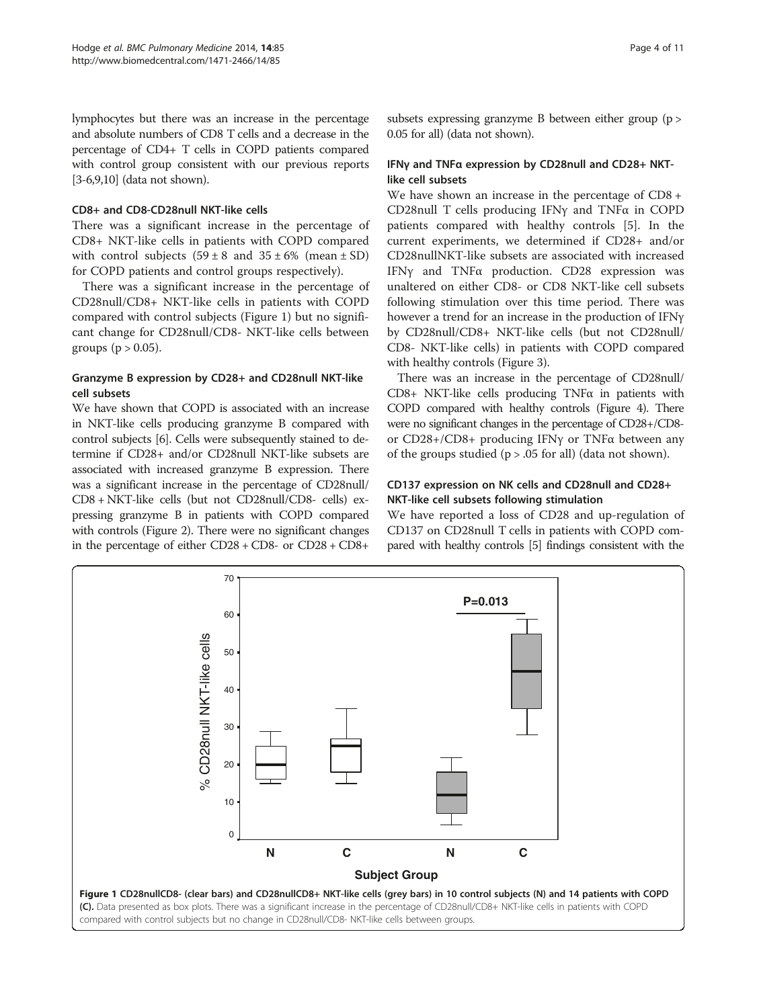lymphocytes but there was an increase in the percentage and absolute numbers of CD8 T cells and a decrease in the percentage of CD4+ T cells in COPD patients compared with control group consistent with our previous reports [[3](#page-9-0)-[6,9,10\]](#page-9-0) (data not shown).

#### CD8+ and CD8-CD28null NKT-like cells

There was a significant increase in the percentage of CD8+ NKT-like cells in patients with COPD compared with control subjects  $(59 \pm 8 \text{ and } 35 \pm 6\% \text{ (mean } \pm \text{ SD})$ for COPD patients and control groups respectively).

There was a significant increase in the percentage of CD28null/CD8+ NKT-like cells in patients with COPD compared with control subjects (Figure 1) but no significant change for CD28null/CD8- NKT-like cells between groups ( $p > 0.05$ ).

#### Granzyme B expression by CD28+ and CD28null NKT-like cell subsets

We have shown that COPD is associated with an increase in NKT-like cells producing granzyme B compared with control subjects [\[6](#page-9-0)]. Cells were subsequently stained to determine if CD28+ and/or CD28null NKT-like subsets are associated with increased granzyme B expression. There was a significant increase in the percentage of CD28null/ CD8 + NKT-like cells (but not CD28null/CD8- cells) expressing granzyme B in patients with COPD compared with controls (Figure [2](#page-4-0)). There were no significant changes in the percentage of either CD28 + CD8- or CD28 + CD8+

#### IFNγ and TNFα expression by CD28null and CD28+ NKTlike cell subsets

We have shown an increase in the percentage of CD8 + CD28null T cells producing IFNγ and TNFα in COPD patients compared with healthy controls [[5\]](#page-9-0). In the current experiments, we determined if CD28+ and/or CD28nullNKT-like subsets are associated with increased IFNγ and TNFα production. CD28 expression was unaltered on either CD8- or CD8 NKT-like cell subsets following stimulation over this time period. There was however a trend for an increase in the production of IFNγ by CD28null/CD8+ NKT-like cells (but not CD28null/ CD8- NKT-like cells) in patients with COPD compared with healthy controls (Figure [3](#page-4-0)).

There was an increase in the percentage of CD28null/ CD8+ NKT-like cells producing TNFα in patients with COPD compared with healthy controls (Figure [4\)](#page-5-0). There were no significant changes in the percentage of CD28+/CD8 or CD28+/CD8+ producing IFNγ or TNFα between any of the groups studied  $(p > .05$  for all) (data not shown).

## CD137 expression on NK cells and CD28null and CD28+ NKT-like cell subsets following stimulation

We have reported a loss of CD28 and up-regulation of CD137 on CD28null T cells in patients with COPD compared with healthy controls [\[5](#page-9-0)] findings consistent with the

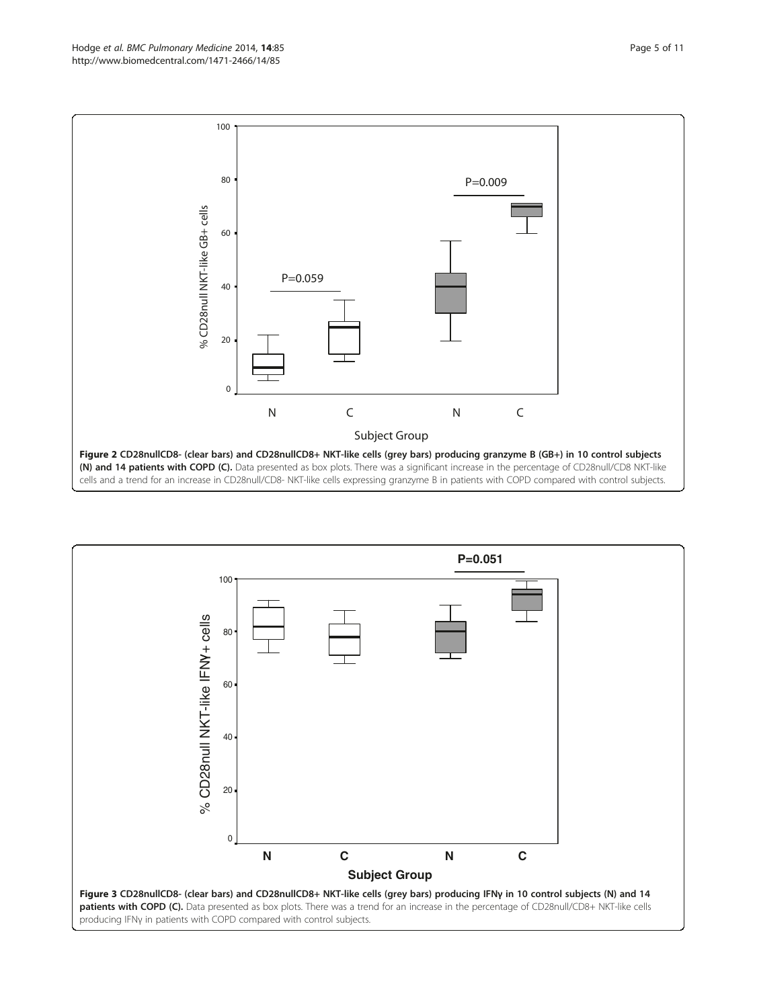<span id="page-4-0"></span>

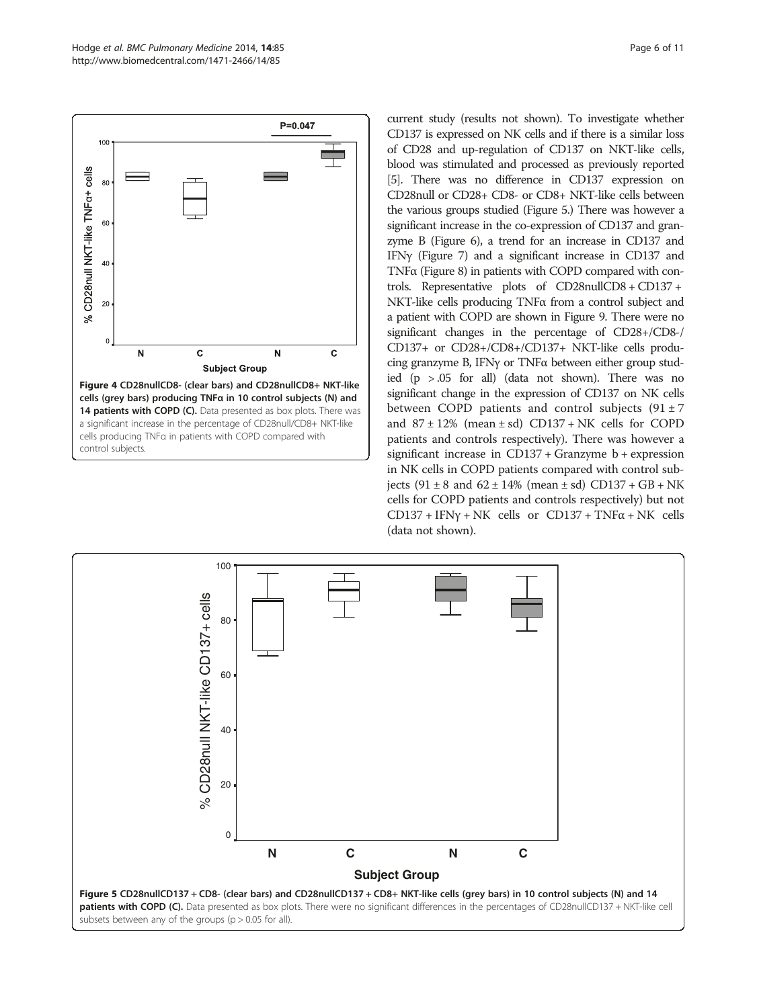<span id="page-5-0"></span>

current study (results not shown). To investigate whether CD137 is expressed on NK cells and if there is a similar loss of CD28 and up-regulation of CD137 on NKT-like cells, blood was stimulated and processed as previously reported [[5](#page-9-0)]. There was no difference in CD137 expression on CD28null or CD28+ CD8- or CD8+ NKT-like cells between the various groups studied (Figure 5.) There was however a significant increase in the co-expression of CD137 and granzyme B (Figure [6\)](#page-6-0), a trend for an increase in CD137 and IFNγ (Figure [7](#page-6-0)) and a significant increase in CD137 and TNFα (Figure [8\)](#page-6-0) in patients with COPD compared with controls. Representative plots of CD28nullCD8 + CD137 + NKT-like cells producing TNFα from a control subject and a patient with COPD are shown in Figure [9.](#page-7-0) There were no significant changes in the percentage of CD28+/CD8-/ CD137+ or CD28+/CD8+/CD137+ NKT-like cells producing granzyme B, IFNγ or TNFα between either group studied (p > .05 for all) (data not shown). There was no significant change in the expression of CD137 on NK cells between COPD patients and control subjects  $(91 \pm 7)$ and  $87 \pm 12\%$  (mean  $\pm$  sd) CD137 + NK cells for COPD patients and controls respectively). There was however a significant increase in CD137 + Granzyme b + expression in NK cells in COPD patients compared with control subjects  $(91 \pm 8 \text{ and } 62 \pm 14\% \text{ (mean } \pm \text{ sd})$  CD137 + GB + NK cells for COPD patients and controls respectively) but not CD137 + IFN $\gamma$  + NK cells or CD137 + TNF $\alpha$  + NK cells (data not shown).

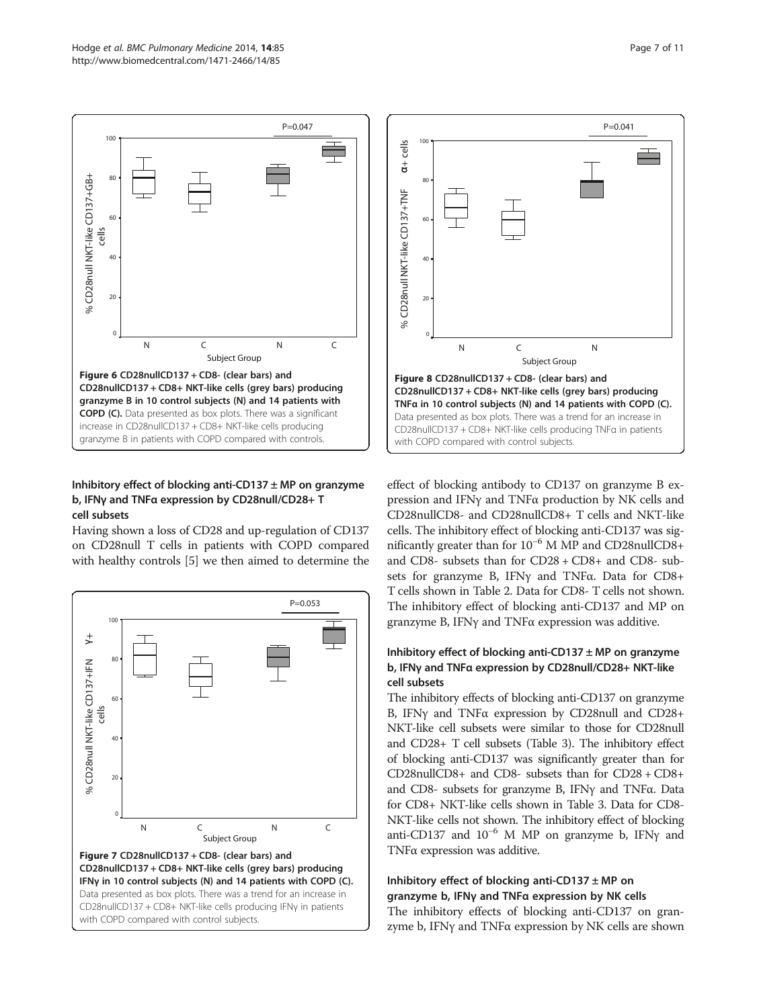<span id="page-6-0"></span>

#### Inhibitory effect of blocking anti-CD137  $\pm$  MP on granzyme b, IFNγ and TNFα expression by CD28null/CD28+ T cell subsets

Having shown a loss of CD28 and up-regulation of CD137 on CD28null T cells in patients with COPD compared with healthy controls [\[5](#page-9-0)] we then aimed to determine the





effect of blocking antibody to CD137 on granzyme B expression and IFNγ and TNFα production by NK cells and CD28nullCD8- and CD28nullCD8+ T cells and NKT-like cells. The inhibitory effect of blocking anti-CD137 was significantly greater than for 10−<sup>6</sup> M MP and CD28nullCD8+ and CD8- subsets than for CD28 + CD8+ and CD8- subsets for granzyme B, IFNγ and TNFα. Data for CD8+ T cells shown in Table [2](#page-7-0). Data for CD8- T cells not shown. The inhibitory effect of blocking anti-CD137 and MP on granzyme B, IFNγ and TNFα expression was additive.

#### Inhibitory effect of blocking anti-CD137  $\pm$  MP on granzyme b, IFNγ and TNFα expression by CD28null/CD28+ NKT-like cell subsets

The inhibitory effects of blocking anti-CD137 on granzyme B, IFNγ and TNFα expression by CD28null and CD28+ NKT-like cell subsets were similar to those for CD28null and CD28+ T cell subsets (Table [3\)](#page-8-0). The inhibitory effect of blocking anti-CD137 was significantly greater than for CD28nullCD8+ and CD8- subsets than for CD28 + CD8+ and CD8- subsets for granzyme B, IFNγ and TNFα. Data for CD8+ NKT-like cells shown in Table [3](#page-8-0). Data for CD8- NKT-like cells not shown. The inhibitory effect of blocking anti-CD137 and  $10^{-6}$  M MP on granzyme b, IFNy and TNFα expression was additive.

## Inhibitory effect of blocking anti-CD137  $\pm$  MP on granzyme b, IFNγ and TNFα expression by NK cells

The inhibitory effects of blocking anti-CD137 on granzyme b, IFNγ and TNFα expression by NK cells are shown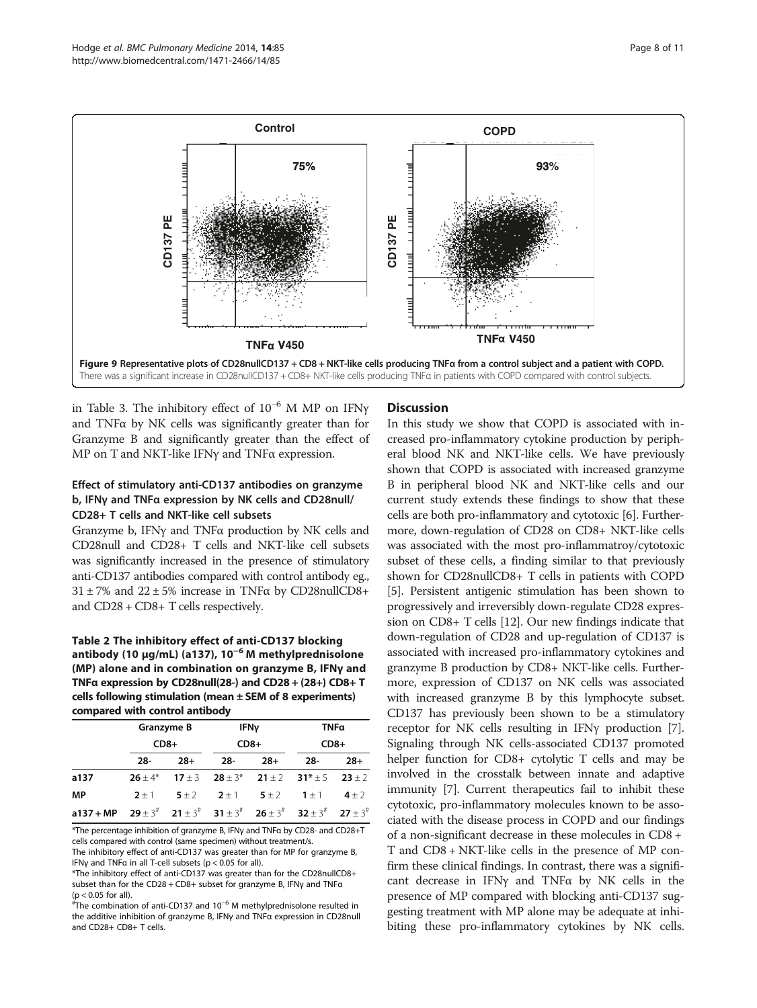<span id="page-7-0"></span>

in Table [3](#page-8-0). The inhibitory effect of  $10^{-6}$  M MP on IFN $\gamma$ and TNFα by NK cells was significantly greater than for Granzyme B and significantly greater than the effect of MP on T and NKT-like IFNγ and TNFα expression.

## Effect of stimulatory anti-CD137 antibodies on granzyme b, IFNγ and TNFα expression by NK cells and CD28null/ CD28+ T cells and NKT-like cell subsets

Granzyme b, IFNγ and TNFα production by NK cells and CD28null and CD28+ T cells and NKT-like cell subsets was significantly increased in the presence of stimulatory anti-CD137 antibodies compared with control antibody eg.,  $31 \pm 7\%$  and  $22 \pm 5\%$  increase in TNF $\alpha$  by CD28nullCD8+ and CD28 + CD8+ T cells respectively.

Table 2 The inhibitory effect of anti-CD137 blocking antibody (10 μg/mL) (a137),  $10^{-6}$  M methylprednisolone (MP) alone and in combination on granzyme B, IFNγ and TNFα expression by CD28null(28-) and CD28 + (28+) CD8+ T cells following stimulation (mean ± SEM of 8 experiments) compared with control antibody

|                                                                                                           | Granzyme B<br>$CD8+$ |       | <b>IFNy</b><br>$CD8+$                                      |       | TNFa<br>$CD8+$ |           |
|-----------------------------------------------------------------------------------------------------------|----------------------|-------|------------------------------------------------------------|-------|----------------|-----------|
|                                                                                                           |                      |       |                                                            |       |                |           |
|                                                                                                           | 28-                  | $28+$ | -28                                                        | $28+$ | -28            | $28+$     |
| a137                                                                                                      | $26 + 4*$            |       | $17 \pm 3$ $28 \pm 3^*$ $21 \pm 2$ $31^* \pm 5$ $23 \pm 2$ |       |                |           |
| MP                                                                                                        | $2 + 1$              |       | $5+2$ $2+1$ $5+2$ $1+1$                                    |       |                | $4 \pm 2$ |
| a137 + MP $29 \pm 3^{\#}$ $21 \pm 3^{\#}$ $31 \pm 3^{\#}$ $26 \pm 3^{\#}$ $32 \pm 3^{\#}$ $27 \pm 3^{\#}$ |                      |       |                                                            |       |                |           |

\*The percentage inhibition of granzyme B, IFNγ and TNFα by CD28- and CD28+T cells compared with control (same specimen) without treatment/s. The inhibitory effect of anti-CD137 was greater than for MP for granzyme B,

IFNγ and TNFα in all T-cell subsets (p < 0.05 for all).

\*The inhibitory effect of anti-CD137 was greater than for the CD28nullCD8+ subset than for the CD28 + CD8+ subset for granzyme B, IFNγ and TNFα (p < 0.05 for all).

# The combination of anti-CD137 and 10−<sup>6</sup> M methylprednisolone resulted in the additive inhibition of granzyme B, IFNγ and TNFα expression in CD28null and CD28+ CD8+ T cells.

## **Discussion**

In this study we show that COPD is associated with increased pro-inflammatory cytokine production by peripheral blood NK and NKT-like cells. We have previously shown that COPD is associated with increased granzyme B in peripheral blood NK and NKT-like cells and our current study extends these findings to show that these cells are both pro-inflammatory and cytotoxic [[6\]](#page-9-0). Furthermore, down-regulation of CD28 on CD8+ NKT-like cells was associated with the most pro-inflammatroy/cytotoxic subset of these cells, a finding similar to that previously shown for CD28nullCD8+ T cells in patients with COPD [[5\]](#page-9-0). Persistent antigenic stimulation has been shown to progressively and irreversibly down-regulate CD28 expression on CD8+ T cells [[12](#page-9-0)]. Our new findings indicate that down-regulation of CD28 and up-regulation of CD137 is associated with increased pro-inflammatory cytokines and granzyme B production by CD8+ NKT-like cells. Furthermore, expression of CD137 on NK cells was associated with increased granzyme B by this lymphocyte subset. CD137 has previously been shown to be a stimulatory receptor for NK cells resulting in IFNγ production [[7](#page-9-0)]. Signaling through NK cells-associated CD137 promoted helper function for CD8+ cytolytic T cells and may be involved in the crosstalk between innate and adaptive immunity [[7\]](#page-9-0). Current therapeutics fail to inhibit these cytotoxic, pro-inflammatory molecules known to be associated with the disease process in COPD and our findings of a non-significant decrease in these molecules in CD8 + T and CD8 + NKT-like cells in the presence of MP confirm these clinical findings. In contrast, there was a significant decrease in IFNγ and TNFα by NK cells in the presence of MP compared with blocking anti-CD137 suggesting treatment with MP alone may be adequate at inhibiting these pro-inflammatory cytokines by NK cells.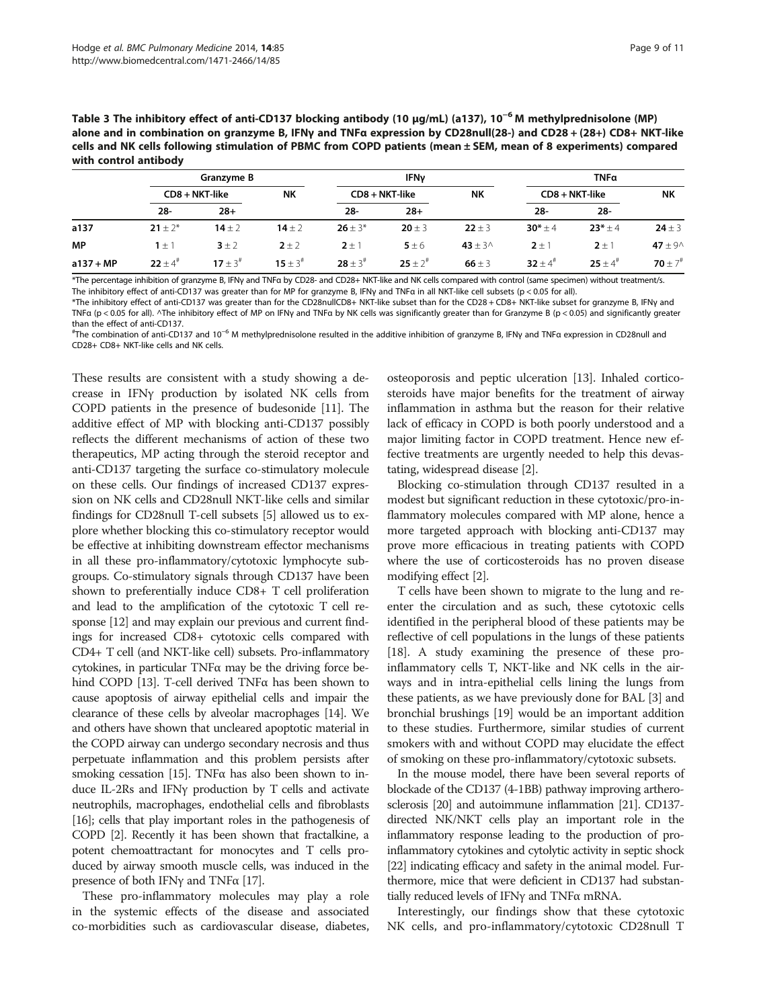<span id="page-8-0"></span>

| Table 3 The inhibitory effect of anti-CD137 blocking antibody (10 µg/mL) (a137), 10 <sup>-6</sup> M methylprednisolone (MP) |
|-----------------------------------------------------------------------------------------------------------------------------|
| alone and in combination on granzyme B, IFNγ and TNFα expression by CD28null(28-) and CD28 + (28+) CD8+ NKT-like            |
| cells and NK cells following stimulation of PBMC from COPD patients (mean $\pm$ SEM, mean of 8 experiments) compared        |
| with control antibody                                                                                                       |

|             | Granzvme B     |               | <b>IFN<sub>v</sub></b> |                |                             | TNFa       |              |                       |                         |
|-------------|----------------|---------------|------------------------|----------------|-----------------------------|------------|--------------|-----------------------|-------------------------|
|             | CD8 + NKT-like |               | <b>NK</b>              |                | <b>NK</b><br>CD8 + NKT-like |            |              | CD8 + NKT-like        | <b>NK</b>               |
|             | $28 -$         | $28+$         |                        | $28 -$         | $28+$                       |            | $28 -$       | $28 -$                |                         |
| a137        | $21 + 2^*$     | $14 + 2$      | $14 + 2$               | $26 + 3*$      | $20 \pm 3$                  | $22 \pm 3$ | $30^* + 4$   | $23*+4$               | $24 \pm 3$              |
| <b>MP</b>   | $1 \pm 1$      | $3 \pm 2$     | $2 \pm 2$              | $2 \pm 1$      | $5 \pm 6$                   | $43 + 30$  | $2 \pm 1$    | $2 \pm 1$             | 47 $\pm$ 9 $\wedge$     |
| $a137 + MP$ | $22 \pm 4^*$   | $17 + 3^{\#}$ | $15 + 3^{\#}$          | $28 \pm 3^{#}$ | $25 \pm 2^{*}$              | 66 $\pm$ 3 | 32 $\pm 4^*$ | $25 + 4$ <sup>#</sup> | 70 $\pm$ 7 <sup>#</sup> |

\*The percentage inhibition of granzyme B, IFNγ and TNFα by CD28- and CD28+ NKT-like and NK cells compared with control (same specimen) without treatment/s. The inhibitory effect of anti-CD137 was greater than for MP for granzyme B, IFNγ and TNFα in all NKT-like cell subsets (p < 0.05 for all).

\*The inhibitory effect of anti-CD137 was greater than for the CD28nullCD8+ NKT-like subset than for the CD28 + CD8+ NKT-like subset for granzyme B, IFNγ and TNFα (p < 0.05 for all). ^The inhibitory effect of MP on IFNγ and TNFα by NK cells was significantly greater than for Granzyme B (p < 0.05) and significantly greater than the effect of anti-CD137.

# The combination of anti-CD137 and 10−<sup>6</sup> M methylprednisolone resulted in the additive inhibition of granzyme B, IFNγ and TNFα expression in CD28null and CD28+ CD8+ NKT-like cells and NK cells.

These results are consistent with a study showing a decrease in IFNγ production by isolated NK cells from COPD patients in the presence of budesonide [[11](#page-9-0)]. The additive effect of MP with blocking anti-CD137 possibly reflects the different mechanisms of action of these two therapeutics, MP acting through the steroid receptor and anti-CD137 targeting the surface co-stimulatory molecule on these cells. Our findings of increased CD137 expression on NK cells and CD28null NKT-like cells and similar findings for CD28null T-cell subsets [[5](#page-9-0)] allowed us to explore whether blocking this co-stimulatory receptor would be effective at inhibiting downstream effector mechanisms in all these pro-inflammatory/cytotoxic lymphocyte subgroups. Co-stimulatory signals through CD137 have been shown to preferentially induce CD8+ T cell proliferation and lead to the amplification of the cytotoxic T cell response [\[12](#page-9-0)] and may explain our previous and current findings for increased CD8+ cytotoxic cells compared with CD4+ T cell (and NKT-like cell) subsets. Pro-inflammatory cytokines, in particular TNFα may be the driving force behind COPD [\[13](#page-9-0)]. T-cell derived TNFα has been shown to cause apoptosis of airway epithelial cells and impair the clearance of these cells by alveolar macrophages [\[14\]](#page-9-0). We and others have shown that uncleared apoptotic material in the COPD airway can undergo secondary necrosis and thus perpetuate inflammation and this problem persists after smoking cessation [[15](#page-9-0)]. TNF $\alpha$  has also been shown to induce IL-2Rs and IFNγ production by T cells and activate neutrophils, macrophages, endothelial cells and fibroblasts [[16](#page-9-0)]; cells that play important roles in the pathogenesis of COPD [\[2\]](#page-9-0). Recently it has been shown that fractalkine, a potent chemoattractant for monocytes and T cells produced by airway smooth muscle cells, was induced in the presence of both IFNγ and TNF $α$  [[17](#page-9-0)].

These pro-inflammatory molecules may play a role in the systemic effects of the disease and associated co-morbidities such as cardiovascular disease, diabetes, osteoporosis and peptic ulceration [\[13\]](#page-9-0). Inhaled corticosteroids have major benefits for the treatment of airway inflammation in asthma but the reason for their relative lack of efficacy in COPD is both poorly understood and a major limiting factor in COPD treatment. Hence new effective treatments are urgently needed to help this devastating, widespread disease [\[2](#page-9-0)].

Blocking co-stimulation through CD137 resulted in a modest but significant reduction in these cytotoxic/pro-inflammatory molecules compared with MP alone, hence a more targeted approach with blocking anti-CD137 may prove more efficacious in treating patients with COPD where the use of corticosteroids has no proven disease modifying effect [[2\]](#page-9-0).

T cells have been shown to migrate to the lung and reenter the circulation and as such, these cytotoxic cells identified in the peripheral blood of these patients may be reflective of cell populations in the lungs of these patients [[18](#page-9-0)]. A study examining the presence of these proinflammatory cells T, NKT-like and NK cells in the airways and in intra-epithelial cells lining the lungs from these patients, as we have previously done for BAL [\[3](#page-9-0)] and bronchial brushings [\[19](#page-9-0)] would be an important addition to these studies. Furthermore, similar studies of current smokers with and without COPD may elucidate the effect of smoking on these pro-inflammatory/cytotoxic subsets.

In the mouse model, there have been several reports of blockade of the CD137 (4-1BB) pathway improving artherosclerosis [\[20\]](#page-9-0) and autoimmune inflammation [[21](#page-9-0)]. CD137 directed NK/NKT cells play an important role in the inflammatory response leading to the production of proinflammatory cytokines and cytolytic activity in septic shock [[22](#page-9-0)] indicating efficacy and safety in the animal model. Furthermore, mice that were deficient in CD137 had substantially reduced levels of IFNγ and TNFα mRNA.

Interestingly, our findings show that these cytotoxic NK cells, and pro-inflammatory/cytotoxic CD28null T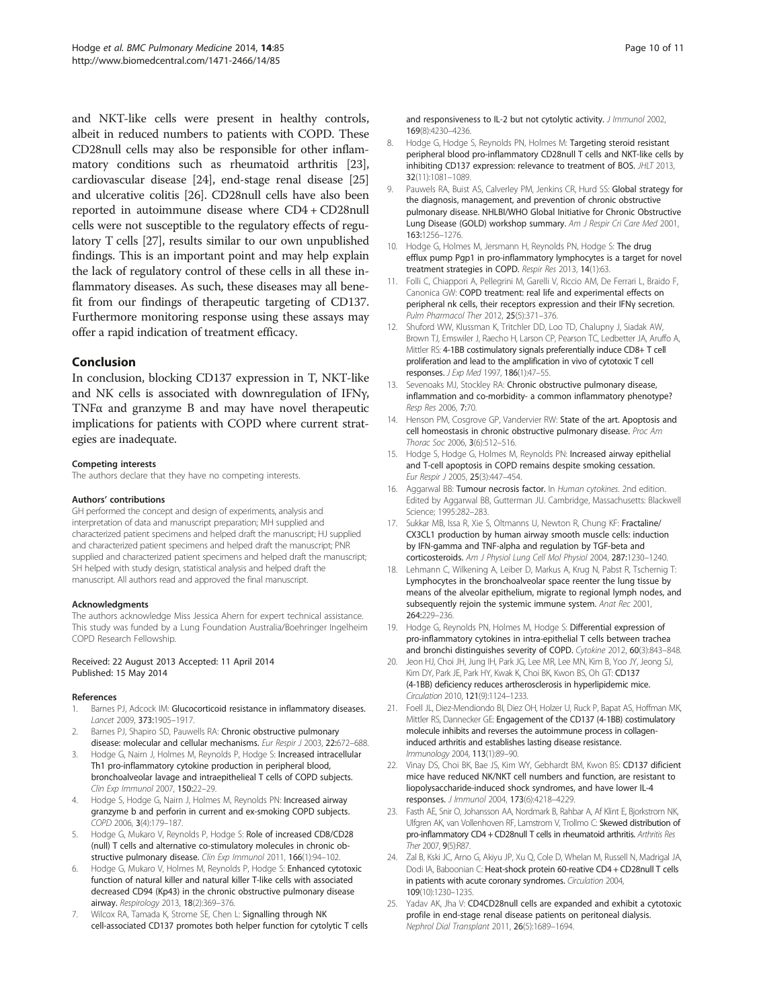<span id="page-9-0"></span>and NKT-like cells were present in healthy controls, albeit in reduced numbers to patients with COPD. These CD28null cells may also be responsible for other inflammatory conditions such as rheumatoid arthritis [23], cardiovascular disease [24], end-stage renal disease [25] and ulcerative colitis [\[26\]](#page-10-0). CD28null cells have also been reported in autoimmune disease where CD4 + CD28null cells were not susceptible to the regulatory effects of regulatory T cells [\[27\]](#page-10-0), results similar to our own unpublished findings. This is an important point and may help explain the lack of regulatory control of these cells in all these inflammatory diseases. As such, these diseases may all benefit from our findings of therapeutic targeting of CD137. Furthermore monitoring response using these assays may offer a rapid indication of treatment efficacy.

#### Conclusion

In conclusion, blocking CD137 expression in T, NKT-like and NK cells is associated with downregulation of IFNγ, TNFα and granzyme B and may have novel therapeutic implications for patients with COPD where current strategies are inadequate.

#### Competing interests

The authors declare that they have no competing interests.

#### Authors' contributions

GH performed the concept and design of experiments, analysis and interpretation of data and manuscript preparation; MH supplied and characterized patient specimens and helped draft the manuscript; HJ supplied and characterized patient specimens and helped draft the manuscript; PNR supplied and characterized patient specimens and helped draft the manuscript; SH helped with study design, statistical analysis and helped draft the manuscript. All authors read and approved the final manuscript.

#### Acknowledgments

The authors acknowledge Miss Jessica Ahern for expert technical assistance. This study was funded by a Lung Foundation Australia/Boehringer Ingelheim COPD Research Fellowship.

#### Received: 22 August 2013 Accepted: 11 April 2014 Published: 15 May 2014

#### References

- 1. Barnes PJ, Adcock IM: Glucocorticoid resistance in inflammatory diseases. Lancet 2009, 373:1905–1917.
- Barnes PJ, Shapiro SD, Pauwells RA: Chronic obstructive pulmonary disease: molecular and cellular mechanisms. Eur Respir J 2003, 22:672-688.
- 3. Hodge G, Nairn J, Holmes M, Reynolds P, Hodge S: Increased intracellular Th1 pro-inflammatory cytokine production in peripheral blood, bronchoalveolar lavage and intraepithelieal T cells of COPD subjects. Clin Exp Immunol 2007, 150:22–29.
- 4. Hodge S, Hodge G, Nairn J, Holmes M, Reynolds PN: Increased airway granzyme b and perforin in current and ex-smoking COPD subjects. COPD 2006, 3(4):179–187.
- 5. Hodge G, Mukaro V, Reynolds P, Hodge S: Role of increased CD8/CD28 (null) T cells and alternative co-stimulatory molecules in chronic obstructive pulmonary disease. Clin Exp Immunol 2011, 166(1):94–102.
- Hodge G, Mukaro V, Holmes M, Reynolds P, Hodge S: Enhanced cytotoxic function of natural killer and natural killer T-like cells with associated decreased CD94 (Kp43) in the chronic obstructive pulmonary disease airway. Respirology 2013, 18(2):369–376.
- 7. Wilcox RA, Tamada K, Strome SE, Chen L: Signalling through NK cell-associated CD137 promotes both helper function for cytolytic T cells

and responsiveness to IL-2 but not cytolytic activity. *J Immunol* 2002, 169(8):4230–4236.

- 8. Hodge G, Hodge S, Reynolds PN, Holmes M: Targeting steroid resistant peripheral blood pro-inflammatory CD28null T cells and NKT-like cells by inhibiting CD137 expression: relevance to treatment of BOS. JHLT 2013, 32(11):1081–1089.
- 9. Pauwels RA, Buist AS, Calverley PM, Jenkins CR, Hurd SS: Global strategy for the diagnosis, management, and prevention of chronic obstructive pulmonary disease. NHLBI/WHO Global Initiative for Chronic Obstructive Lung Disease (GOLD) workshop summary. Am J Respir Cri Care Med 2001, 163:1256–1276.
- 10. Hodge G, Holmes M, Jersmann H, Reynolds PN, Hodge S: The drug efflux pump Pgp1 in pro-inflammatory lymphocytes is a target for novel treatment strategies in COPD. Respir Res 2013, 14(1):63.
- 11. Folli C, Chiappori A, Pellegrini M, Garelli V, Riccio AM, De Ferrari L, Braido F, Canonica GW: COPD treatment: real life and experimental effects on peripheral nk cells, their receptors expression and their IFNγ secretion. Pulm Pharmacol Ther 2012, 25(5):371–376.
- 12. Shuford WW, Klussman K, Tritchler DD, Loo TD, Chalupny J, Siadak AW, Brown TJ, Emswiler J, Raecho H, Larson CP, Pearson TC, Ledbetter JA, Aruffo A, Mittler RS: 4-1BB costimulatory signals preferentially induce CD8+ T cell proliferation and lead to the amplification in vivo of cytotoxic T cell responses. J Exp Med 1997, 186(1):47–55.
- 13. Sevenoaks MJ, Stockley RA: Chronic obstructive pulmonary disease, inflammation and co-morbidity- a common inflammatory phenotype? Resp Res 2006, 7:70.
- 14. Henson PM, Cosgrove GP, Vandervier RW: State of the art. Apoptosis and cell homeostasis in chronic obstructive pulmonary disease. Proc Am Thorac Soc 2006, 3(6):512-516.
- 15. Hodge S, Hodge G, Holmes M, Reynolds PN: Increased airway epithelial and T-cell apoptosis in COPD remains despite smoking cessation. Eur Respir J 2005, 25(3):447–454.
- 16. Aggarwal BB: Tumour necrosis factor. In Human cytokines. 2nd edition. Edited by Aggarwal BB, Gutterman JU. Cambridge, Massachusetts: Blackwell Science; 1995:282–283.
- 17. Sukkar MB, Issa R, Xie S, Oltmanns U, Newton R, Chung KF: Fractaline/ CX3CL1 production by human airway smooth muscle cells: induction by IFN-gamma and TNF-alpha and regulation by TGF-beta and corticosteroids. Am J Physiol Lung Cell Mol Physiol 2004, 287:1230–1240.
- 18. Lehmann C, Wilkening A, Leiber D, Markus A, Krug N, Pabst R, Tschernig T: Lymphocytes in the bronchoalveolar space reenter the lung tissue by means of the alveolar epithelium, migrate to regional lymph nodes, and subsequently rejoin the systemic immune system. Anat Rec 2001, 264:229–236.
- 19. Hodge G, Reynolds PN, Holmes M, Hodge S: Differential expression of pro-inflammatory cytokines in intra-epithelial T cells between trachea and bronchi distinguishes severity of COPD. Cytokine 2012, 60(3):843–848.
- 20. Jeon HJ, Choi JH, Jung IH, Park JG, Lee MR, Lee MN, Kim B, Yoo JY, Jeong SJ, Kim DY, Park JE, Park HY, Kwak K, Choi BK, Kwon BS, Oh GT: CD137 (4-1BB) deficiency reduces artherosclerosis in hyperlipidemic mice. Circulation 2010, 121(9):1124–1233.
- 21. Foell JL, Diez-Mendiondo BI, Diez OH, Holzer U, Ruck P, Bapat AS, Hoffman MK, Mittler RS, Dannecker GE: Engagement of the CD137 (4-1BB) costimulatory molecule inhibits and reverses the autoimmune process in collageninduced arthritis and establishes lasting disease resistance. Immunology 2004, 113(1):89–90.
- 22. Vinay DS, Choi BK, Bae JS, Kim WY, Gebhardt BM, Kwon BS: CD137 dificient mice have reduced NK/NKT cell numbers and function, are resistant to liopolysaccharide-induced shock syndromes, and have lower IL-4 responses. J Immunol 2004, 173(6):4218–4229.
- 23. Fasth AE, Snir O, Johansson AA, Nordmark B, Rahbar A, Af Klint E, Bjorkstrom NK, Ulfgren AK, van Vollenhoven RF, Lamstrom V, Trollmo C: Skewed distribution of pro-inflammatory CD4 + CD28null T cells in rheumatoid arthritis. Arthritis Res Ther 2007, 9(5):R87.
- 24. Zal B, Kski JC, Arno G, Akiyu JP, Xu Q, Cole D, Whelan M, Russell N, Madrigal JA, Dodi IA, Baboonian C: Heat-shock protein 60-reative CD4 + CD28null T cells in patients with acute coronary syndromes. Circulation 2004, 109(10):1230–1235.
- 25. Yadav AK, Jha V: CD4CD28null cells are expanded and exhibit a cytotoxic profile in end-stage renal disease patients on peritoneal dialysis. Nephrol Dial Transplant 2011, 26(5):1689–1694.